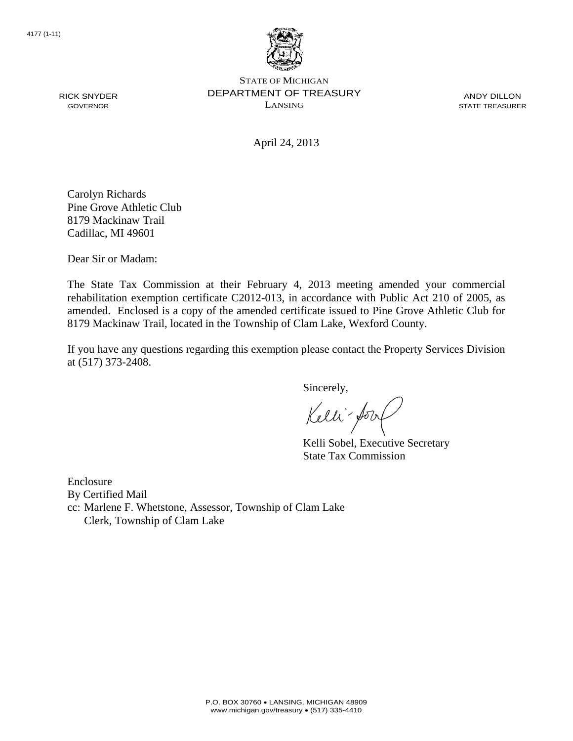

STATE OF MICHIGAN DEPARTMENT OF TREASURY LANSING

ANDY DILLON STATE TREASURER

April 24, 2013

Carolyn Richards Pine Grove Athletic Club 8179 Mackinaw Trail Cadillac, MI 49601

Dear Sir or Madam:

RICK SNYDER GOVERNOR

> The State Tax Commission at their February 4, 2013 meeting amended your commercial rehabilitation exemption certificate C2012-013, in accordance with Public Act 210 of 2005, as amended. Enclosed is a copy of the amended certificate issued to Pine Grove Athletic Club for 8179 Mackinaw Trail, located in the Township of Clam Lake, Wexford County.

> If you have any questions regarding this exemption please contact the Property Services Division at (517) 373-2408.

> > Sincerely,

Kelli-Sorr

Kelli Sobel, Executive Secretary State Tax Commission

Enclosure By Certified Mail cc: Marlene F. Whetstone, Assessor, Township of Clam Lake Clerk, Township of Clam Lake